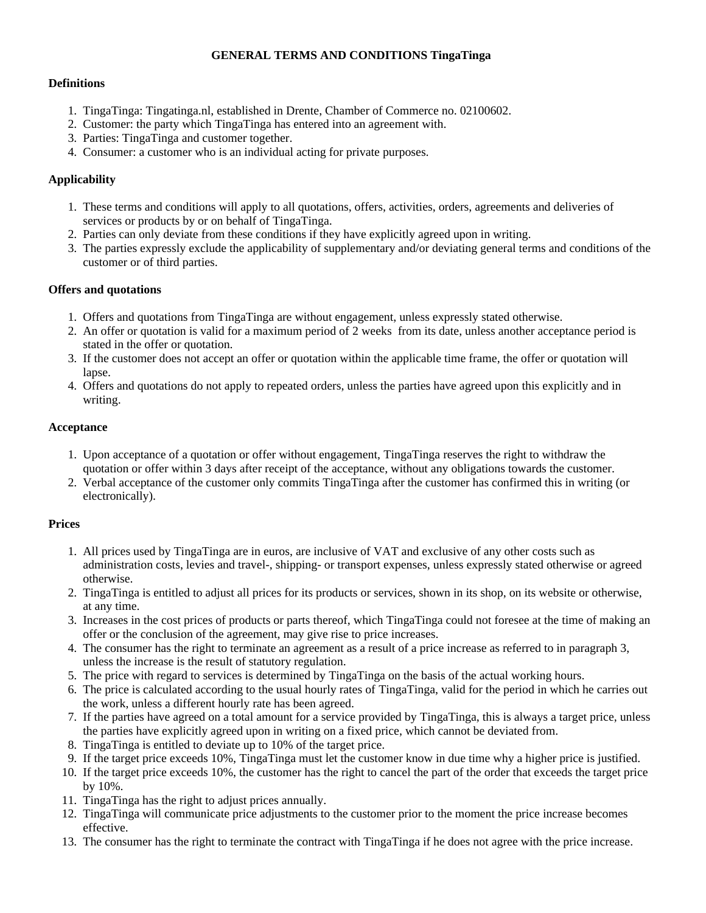#### **GENERAL TERMS AND CONDITIONS TingaTinga**

#### **Definitions**

- 1. TingaTinga: Tingatinga.nl, established in Drente, Chamber of Commerce no. 02100602.
- 2. Customer: the party which TingaTinga has entered into an agreement with.
- 3. Parties: TingaTinga and customer together.
- 4. Consumer: a customer who is an individual acting for private purposes.

## **Applicability**

- 1. These terms and conditions will apply to all quotations, offers, activities, orders, agreements and deliveries of services or products by or on behalf of TingaTinga.
- 2. Parties can only deviate from these conditions if they have explicitly agreed upon in writing.
- 3. The parties expressly exclude the applicability of supplementary and/or deviating general terms and conditions of the customer or of third parties.

#### **Offers and quotations**

- 1. Offers and quotations from TingaTinga are without engagement, unless expressly stated otherwise.
- 2. An offer or quotation is valid for a maximum period of 2 weeks from its date, unless another acceptance period is stated in the offer or quotation.
- 3. If the customer does not accept an offer or quotation within the applicable time frame, the offer or quotation will lapse.
- 4. Offers and quotations do not apply to repeated orders, unless the parties have agreed upon this explicitly and in writing.

#### **Acceptance**

- 1. Upon acceptance of a quotation or offer without engagement, TingaTinga reserves the right to withdraw the quotation or offer within 3 days after receipt of the acceptance, without any obligations towards the customer.
- 2. Verbal acceptance of the customer only commits TingaTinga after the customer has confirmed this in writing (or electronically).

## **Prices**

- 1. All prices used by TingaTinga are in euros, are inclusive of VAT and exclusive of any other costs such as administration costs, levies and travel-, shipping- or transport expenses, unless expressly stated otherwise or agreed otherwise.
- 2. TingaTinga is entitled to adjust all prices for its products or services, shown in its shop, on its website or otherwise, at any time.
- 3. Increases in the cost prices of products or parts thereof, which TingaTinga could not foresee at the time of making an offer or the conclusion of the agreement, may give rise to price increases.
- 4. The consumer has the right to terminate an agreement as a result of a price increase as referred to in paragraph 3, unless the increase is the result of statutory regulation.
- 5. The price with regard to services is determined by TingaTinga on the basis of the actual working hours.
- 6. The price is calculated according to the usual hourly rates of TingaTinga, valid for the period in which he carries out the work, unless a different hourly rate has been agreed.
- 7. If the parties have agreed on a total amount for a service provided by TingaTinga, this is always a target price, unless the parties have explicitly agreed upon in writing on a fixed price, which cannot be deviated from.
- 8. TingaTinga is entitled to deviate up to 10% of the target price.
- 9. If the target price exceeds 10%, TingaTinga must let the customer know in due time why a higher price is justified.
- 10. If the target price exceeds 10%, the customer has the right to cancel the part of the order that exceeds the target price by 10%.
- 11. TingaTinga has the right to adjust prices annually.
- 12. TingaTinga will communicate price adjustments to the customer prior to the moment the price increase becomes effective.
- 13. The consumer has the right to terminate the contract with TingaTinga if he does not agree with the price increase.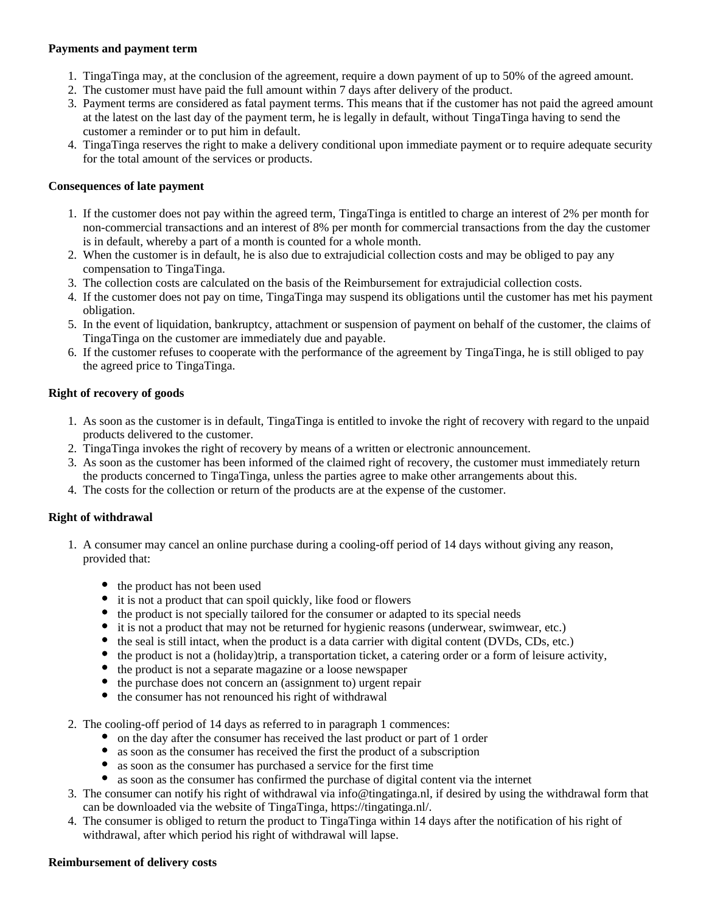#### **Payments and payment term**

- 1. TingaTinga may, at the conclusion of the agreement, require a down payment of up to 50% of the agreed amount.
- 2. The customer must have paid the full amount within 7 days after delivery of the product.
- 3. Payment terms are considered as fatal payment terms. This means that if the customer has not paid the agreed amount at the latest on the last day of the payment term, he is legally in default, without TingaTinga having to send the customer a reminder or to put him in default.
- 4. TingaTinga reserves the right to make a delivery conditional upon immediate payment or to require adequate security for the total amount of the services or products.

## **Consequences of late payment**

- 1. If the customer does not pay within the agreed term, TingaTinga is entitled to charge an interest of 2% per month for non-commercial transactions and an interest of 8% per month for commercial transactions from the day the customer is in default, whereby a part of a month is counted for a whole month.
- 2. When the customer is in default, he is also due to extrajudicial collection costs and may be obliged to pay any compensation to TingaTinga.
- 3. The collection costs are calculated on the basis of the Reimbursement for extrajudicial collection costs.
- 4. If the customer does not pay on time, TingaTinga may suspend its obligations until the customer has met his payment obligation.
- 5. In the event of liquidation, bankruptcy, attachment or suspension of payment on behalf of the customer, the claims of TingaTinga on the customer are immediately due and payable.
- 6. If the customer refuses to cooperate with the performance of the agreement by TingaTinga, he is still obliged to pay the agreed price to TingaTinga.

## **Right of recovery of goods**

- 1. As soon as the customer is in default, TingaTinga is entitled to invoke the right of recovery with regard to the unpaid products delivered to the customer.
- 2. TingaTinga invokes the right of recovery by means of a written or electronic announcement.
- 3. As soon as the customer has been informed of the claimed right of recovery, the customer must immediately return the products concerned to TingaTinga, unless the parties agree to make other arrangements about this.
- 4. The costs for the collection or return of the products are at the expense of the customer.

## **Right of withdrawal**

- 1. A consumer may cancel an online purchase during a cooling-off period of 14 days without giving any reason, provided that:
	- the product has not been used
	- it is not a product that can spoil quickly, like food or flowers
	- the product is not specially tailored for the consumer or adapted to its special needs
	- it is not a product that may not be returned for hygienic reasons (underwear, swimwear, etc.)
	- the seal is still intact, when the product is a data carrier with digital content (DVDs, CDs, etc.)
	- the product is not a (holiday)trip, a transportation ticket, a catering order or a form of leisure activity,
	- $\bullet$ the product is not a separate magazine or a loose newspaper
	- $\bullet$ the purchase does not concern an (assignment to) urgent repair
	- the consumer has not renounced his right of withdrawal
- 2. The cooling-off period of 14 days as referred to in paragraph 1 commences:
	- on the day after the consumer has received the last product or part of 1 order
	- as soon as the consumer has received the first the product of a subscription
	- as soon as the consumer has purchased a service for the first time
	- as soon as the consumer has confirmed the purchase of digital content via the internet
- 3. The consumer can notify his right of withdrawal via info@tingatinga.nl, if desired by using the withdrawal form that can be downloaded via the website of TingaTinga, https://tingatinga.nl/.
- 4. The consumer is obliged to return the product to TingaTinga within 14 days after the notification of his right of withdrawal, after which period his right of withdrawal will lapse.

#### **Reimbursement of delivery costs**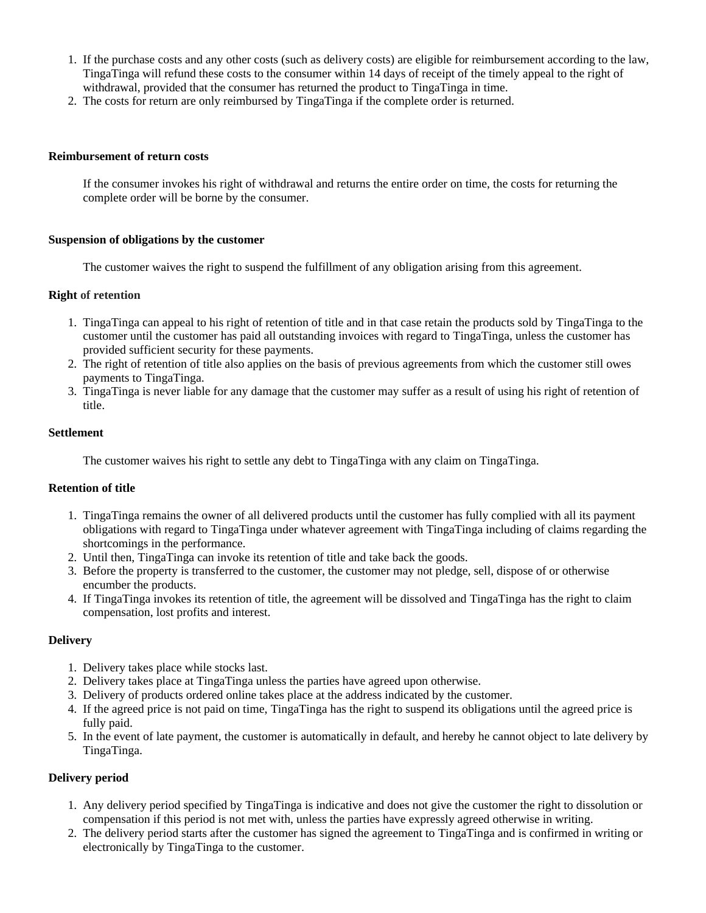- 1. If the purchase costs and any other costs (such as delivery costs) are eligible for reimbursement according to the law, TingaTinga will refund these costs to the consumer within 14 days of receipt of the timely appeal to the right of withdrawal, provided that the consumer has returned the product to TingaTinga in time.
- 2. The costs for return are only reimbursed by TingaTinga if the complete order is returned.

#### **Reimbursement of return costs**

If the consumer invokes his right of withdrawal and returns the entire order on time, the costs for returning the complete order will be borne by the consumer.

#### **Suspension of obligations by the customer**

The customer waives the right to suspend the fulfillment of any obligation arising from this agreement.

#### **Right of retention**

- 1. TingaTinga can appeal to his right of retention of title and in that case retain the products sold by TingaTinga to the customer until the customer has paid all outstanding invoices with regard to TingaTinga, unless the customer has provided sufficient security for these payments.
- 2. The right of retention of title also applies on the basis of previous agreements from which the customer still owes payments to TingaTinga.
- 3. TingaTinga is never liable for any damage that the customer may suffer as a result of using his right of retention of title.

#### **Settlement**

The customer waives his right to settle any debt to TingaTinga with any claim on TingaTinga.

## **Retention of title**

- 1. TingaTinga remains the owner of all delivered products until the customer has fully complied with all its payment obligations with regard to TingaTinga under whatever agreement with TingaTinga including of claims regarding the shortcomings in the performance.
- 2. Until then, TingaTinga can invoke its retention of title and take back the goods.
- 3. Before the property is transferred to the customer, the customer may not pledge, sell, dispose of or otherwise encumber the products.
- 4. If TingaTinga invokes its retention of title, the agreement will be dissolved and TingaTinga has the right to claim compensation, lost profits and interest.

## **Delivery**

- 1. Delivery takes place while stocks last.
- 2. Delivery takes place at TingaTinga unless the parties have agreed upon otherwise.
- 3. Delivery of products ordered online takes place at the address indicated by the customer.
- 4. If the agreed price is not paid on time, TingaTinga has the right to suspend its obligations until the agreed price is fully paid.
- 5. In the event of late payment, the customer is automatically in default, and hereby he cannot object to late delivery by TingaTinga.

## **Delivery period**

- 1. Any delivery period specified by TingaTinga is indicative and does not give the customer the right to dissolution or compensation if this period is not met with, unless the parties have expressly agreed otherwise in writing.
- 2. The delivery period starts after the customer has signed the agreement to TingaTinga and is confirmed in writing or electronically by TingaTinga to the customer.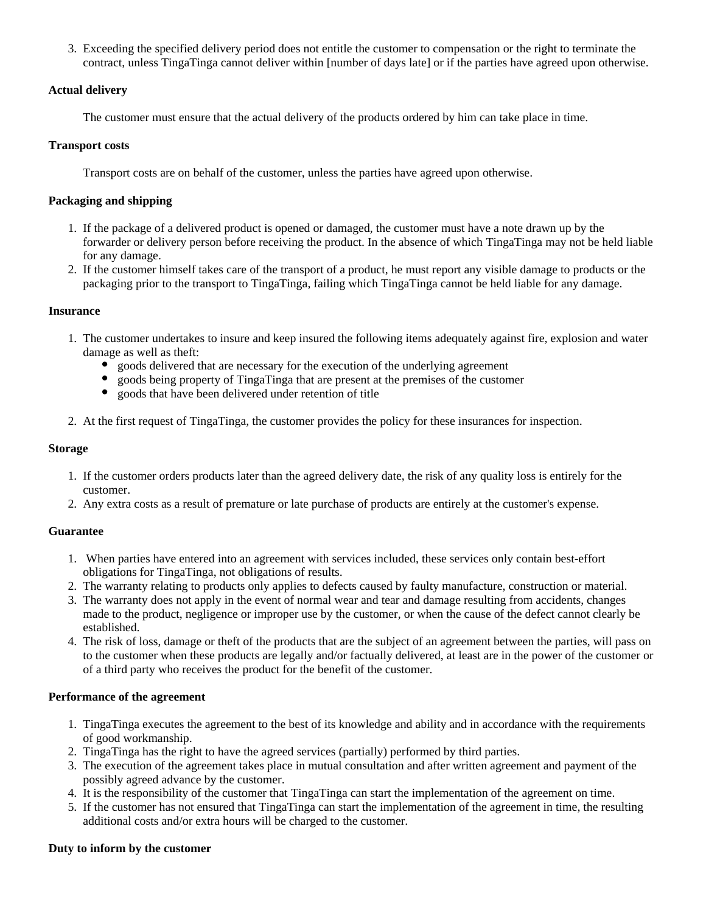3. Exceeding the specified delivery period does not entitle the customer to compensation or the right to terminate the contract, unless TingaTinga cannot deliver within [number of days late] or if the parties have agreed upon otherwise.

## **Actual delivery**

The customer must ensure that the actual delivery of the products ordered by him can take place in time.

# **Transport costs**

Transport costs are on behalf of the customer, unless the parties have agreed upon otherwise.

# **Packaging and shipping**

- 1. If the package of a delivered product is opened or damaged, the customer must have a note drawn up by the forwarder or delivery person before receiving the product. In the absence of which TingaTinga may not be held liable for any damage.
- 2. If the customer himself takes care of the transport of a product, he must report any visible damage to products or the packaging prior to the transport to TingaTinga, failing which TingaTinga cannot be held liable for any damage.

## **Insurance**

- 1. The customer undertakes to insure and keep insured the following items adequately against fire, explosion and water damage as well as theft:
	- goods delivered that are necessary for the execution of the underlying agreement
	- goods being property of TingaTinga that are present at the premises of the customer
	- $\bullet$ goods that have been delivered under retention of title
- 2. At the first request of TingaTinga, the customer provides the policy for these insurances for inspection.

## **Storage**

- 1. If the customer orders products later than the agreed delivery date, the risk of any quality loss is entirely for the customer.
- 2. Any extra costs as a result of premature or late purchase of products are entirely at the customer's expense.

## **Guarantee**

- 1. When parties have entered into an agreement with services included, these services only contain best-effort obligations for TingaTinga, not obligations of results.
- 2. The warranty relating to products only applies to defects caused by faulty manufacture, construction or material.
- 3. The warranty does not apply in the event of normal wear and tear and damage resulting from accidents, changes made to the product, negligence or improper use by the customer, or when the cause of the defect cannot clearly be established.
- 4. The risk of loss, damage or theft of the products that are the subject of an agreement between the parties, will pass on to the customer when these products are legally and/or factually delivered, at least are in the power of the customer or of a third party who receives the product for the benefit of the customer.

## **Performance of the agreement**

- 1. TingaTinga executes the agreement to the best of its knowledge and ability and in accordance with the requirements of good workmanship.
- 2. TingaTinga has the right to have the agreed services (partially) performed by third parties.
- 3. The execution of the agreement takes place in mutual consultation and after written agreement and payment of the possibly agreed advance by the customer.
- 4. It is the responsibility of the customer that TingaTinga can start the implementation of the agreement on time.
- 5. If the customer has not ensured that TingaTinga can start the implementation of the agreement in time, the resulting additional costs and/or extra hours will be charged to the customer.

## **Duty to inform by the customer**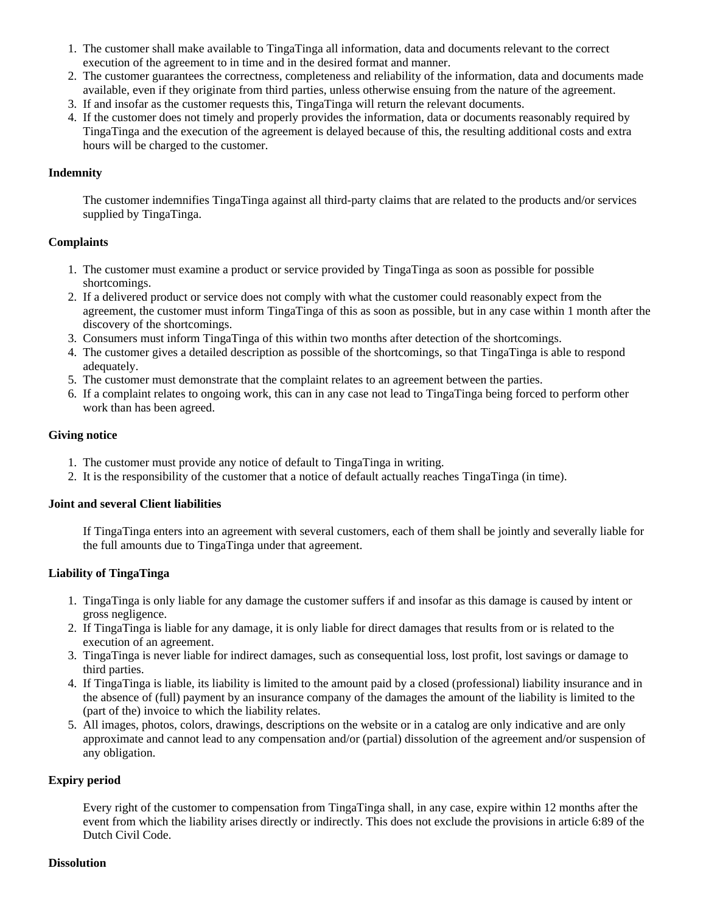- 1. The customer shall make available to TingaTinga all information, data and documents relevant to the correct execution of the agreement to in time and in the desired format and manner.
- 2. The customer guarantees the correctness, completeness and reliability of the information, data and documents made available, even if they originate from third parties, unless otherwise ensuing from the nature of the agreement.
- 3. If and insofar as the customer requests this, TingaTinga will return the relevant documents.
- 4. If the customer does not timely and properly provides the information, data or documents reasonably required by TingaTinga and the execution of the agreement is delayed because of this, the resulting additional costs and extra hours will be charged to the customer.

#### **Indemnity**

The customer indemnifies TingaTinga against all third-party claims that are related to the products and/or services supplied by TingaTinga.

#### **Complaints**

- 1. The customer must examine a product or service provided by TingaTinga as soon as possible for possible shortcomings.
- 2. If a delivered product or service does not comply with what the customer could reasonably expect from the agreement, the customer must inform TingaTinga of this as soon as possible, but in any case within 1 month after the discovery of the shortcomings.
- 3. Consumers must inform TingaTinga of this within two months after detection of the shortcomings.
- 4. The customer gives a detailed description as possible of the shortcomings, so that TingaTinga is able to respond adequately.
- 5. The customer must demonstrate that the complaint relates to an agreement between the parties.
- 6. If a complaint relates to ongoing work, this can in any case not lead to TingaTinga being forced to perform other work than has been agreed.

#### **Giving notice**

- 1. The customer must provide any notice of default to TingaTinga in writing.
- 2. It is the responsibility of the customer that a notice of default actually reaches TingaTinga (in time).

## **Joint and several Client liabilities**

If TingaTinga enters into an agreement with several customers, each of them shall be jointly and severally liable for the full amounts due to TingaTinga under that agreement.

#### **Liability of TingaTinga**

- 1. TingaTinga is only liable for any damage the customer suffers if and insofar as this damage is caused by intent or gross negligence.
- 2. If TingaTinga is liable for any damage, it is only liable for direct damages that results from or is related to the execution of an agreement.
- 3. TingaTinga is never liable for indirect damages, such as consequential loss, lost profit, lost savings or damage to third parties.
- 4. If TingaTinga is liable, its liability is limited to the amount paid by a closed (professional) liability insurance and in the absence of (full) payment by an insurance company of the damages the amount of the liability is limited to the (part of the) invoice to which the liability relates.
- 5. All images, photos, colors, drawings, descriptions on the website or in a catalog are only indicative and are only approximate and cannot lead to any compensation and/or (partial) dissolution of the agreement and/or suspension of any obligation.

## **Expiry period**

Every right of the customer to compensation from TingaTinga shall, in any case, expire within 12 months after the event from which the liability arises directly or indirectly. This does not exclude the provisions in article 6:89 of the Dutch Civil Code.

#### **Dissolution**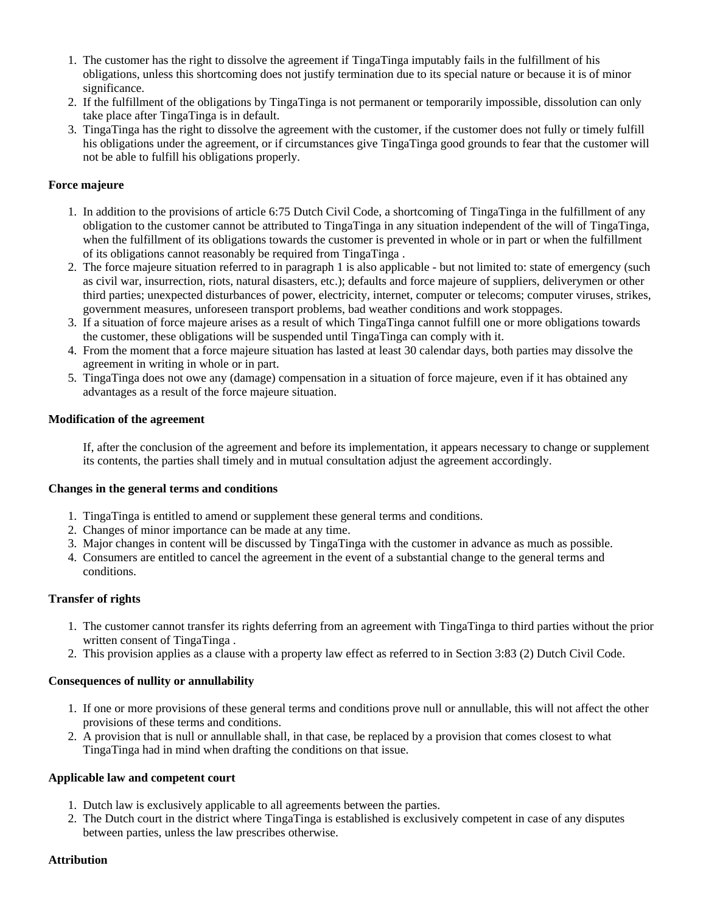- 1. The customer has the right to dissolve the agreement if TingaTinga imputably fails in the fulfillment of his obligations, unless this shortcoming does not justify termination due to its special nature or because it is of minor significance.
- 2. If the fulfillment of the obligations by TingaTinga is not permanent or temporarily impossible, dissolution can only take place after TingaTinga is in default.
- 3. TingaTinga has the right to dissolve the agreement with the customer, if the customer does not fully or timely fulfill his obligations under the agreement, or if circumstances give TingaTinga good grounds to fear that the customer will not be able to fulfill his obligations properly.

# **Force majeure**

- 1. In addition to the provisions of article 6:75 Dutch Civil Code, a shortcoming of TingaTinga in the fulfillment of any obligation to the customer cannot be attributed to TingaTinga in any situation independent of the will of TingaTinga, when the fulfillment of its obligations towards the customer is prevented in whole or in part or when the fulfillment of its obligations cannot reasonably be required from TingaTinga .
- 2. The force majeure situation referred to in paragraph 1 is also applicable but not limited to: state of emergency (such as civil war, insurrection, riots, natural disasters, etc.); defaults and force majeure of suppliers, deliverymen or other third parties; unexpected disturbances of power, electricity, internet, computer or telecoms; computer viruses, strikes, government measures, unforeseen transport problems, bad weather conditions and work stoppages.
- 3. If a situation of force majeure arises as a result of which TingaTinga cannot fulfill one or more obligations towards the customer, these obligations will be suspended until TingaTinga can comply with it.
- 4. From the moment that a force majeure situation has lasted at least 30 calendar days, both parties may dissolve the agreement in writing in whole or in part.
- 5. TingaTinga does not owe any (damage) compensation in a situation of force majeure, even if it has obtained any advantages as a result of the force majeure situation.

# **Modification of the agreement**

If, after the conclusion of the agreement and before its implementation, it appears necessary to change or supplement its contents, the parties shall timely and in mutual consultation adjust the agreement accordingly.

## **Changes in the general terms and conditions**

- 1. TingaTinga is entitled to amend or supplement these general terms and conditions.
- 2. Changes of minor importance can be made at any time.
- 3. Major changes in content will be discussed by TingaTinga with the customer in advance as much as possible.
- 4. Consumers are entitled to cancel the agreement in the event of a substantial change to the general terms and conditions.

## **Transfer of rights**

- 1. The customer cannot transfer its rights deferring from an agreement with TingaTinga to third parties without the prior written consent of TingaTinga.
- 2. This provision applies as a clause with a property law effect as referred to in Section 3:83 (2) Dutch Civil Code.

## **Consequences of nullity or annullability**

- 1. If one or more provisions of these general terms and conditions prove null or annullable, this will not affect the other provisions of these terms and conditions.
- 2. A provision that is null or annullable shall, in that case, be replaced by a provision that comes closest to what TingaTinga had in mind when drafting the conditions on that issue.

## **Applicable law and competent court**

- 1. Dutch law is exclusively applicable to all agreements between the parties.
- 2. The Dutch court in the district where TingaTinga is established is exclusively competent in case of any disputes between parties, unless the law prescribes otherwise.

#### **Attribution**